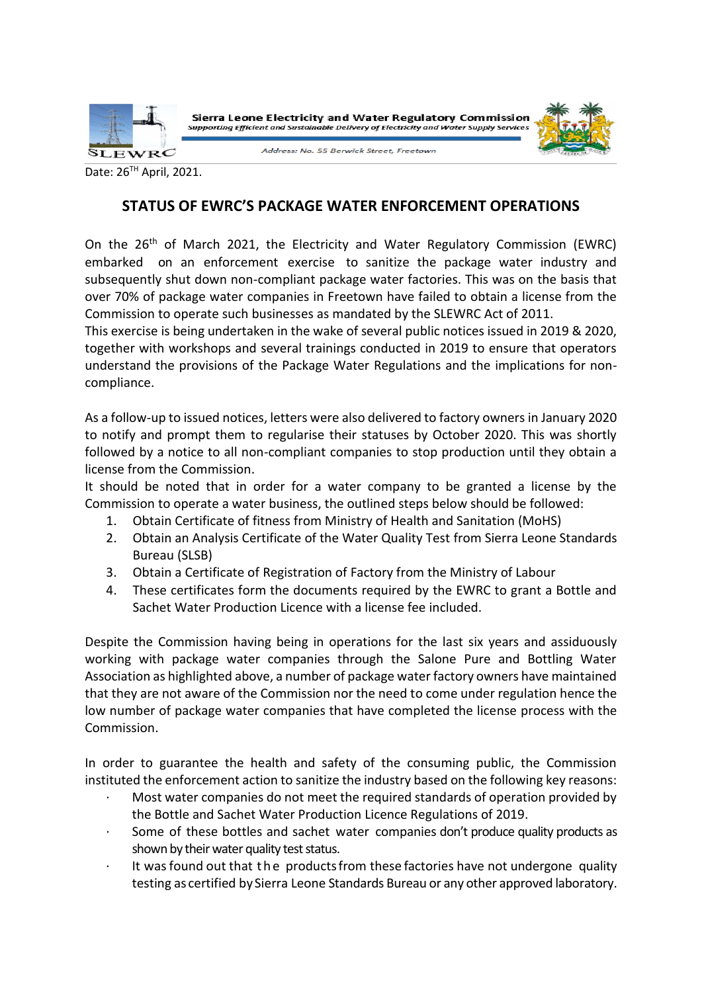

Date: 26TH April, 2021.

## **STATUS OF EWRC'S PACKAGE WATER ENFORCEMENT OPERATIONS**

On the 26th of March 2021, the Electricity and Water Regulatory Commission (EWRC) embarked on an enforcement exercise to sanitize the package water industry and subsequently shut down non-compliant package water factories. This was on the basis that over 70% of package water companies in Freetown have failed to obtain a license from the Commission to operate such businesses as mandated by the SLEWRC Act of 2011.

This exercise is being undertaken in the wake of several public notices issued in 2019 & 2020, together with workshops and several trainings conducted in 2019 to ensure that operators understand the provisions of the Package Water Regulations and the implications for noncompliance.

As a follow-up to issued notices, letters were also delivered to factory owners in January 2020 to notify and prompt them to regularise their statuses by October 2020. This was shortly followed by a notice to all non-compliant companies to stop production until they obtain a license from the Commission.

It should be noted that in order for a water company to be granted a license by the Commission to operate a water business, the outlined steps below should be followed:

- 1. Obtain Certificate of fitness from Ministry of Health and Sanitation (MoHS)
- 2. Obtain an Analysis Certificate of the Water Quality Test from Sierra Leone Standards Bureau (SLSB)
- 3. Obtain a Certificate of Registration of Factory from the Ministry of Labour
- 4. These certificates form the documents required by the EWRC to grant a Bottle and Sachet Water Production Licence with a license fee included.

Despite the Commission having being in operations for the last six years and assiduously working with package water companies through the Salone Pure and Bottling Water Association as highlighted above, a number of package water factory owners have maintained that they are not aware of the Commission nor the need to come under regulation hence the low number of package water companies that have completed the license process with the Commission.

In order to guarantee the health and safety of the consuming public, the Commission instituted the enforcement action to sanitize the industry based on the following key reasons:

- · Most water companies do not meet the required standards of operation provided by the Bottle and Sachet Water Production Licence Regulations of 2019.
- Some of these bottles and sachet water companies don't produce quality products as shown by their water quality test status.
- It was found out that the products from these factories have not undergone quality testing as certified by Sierra Leone Standards Bureau or any other approved laboratory.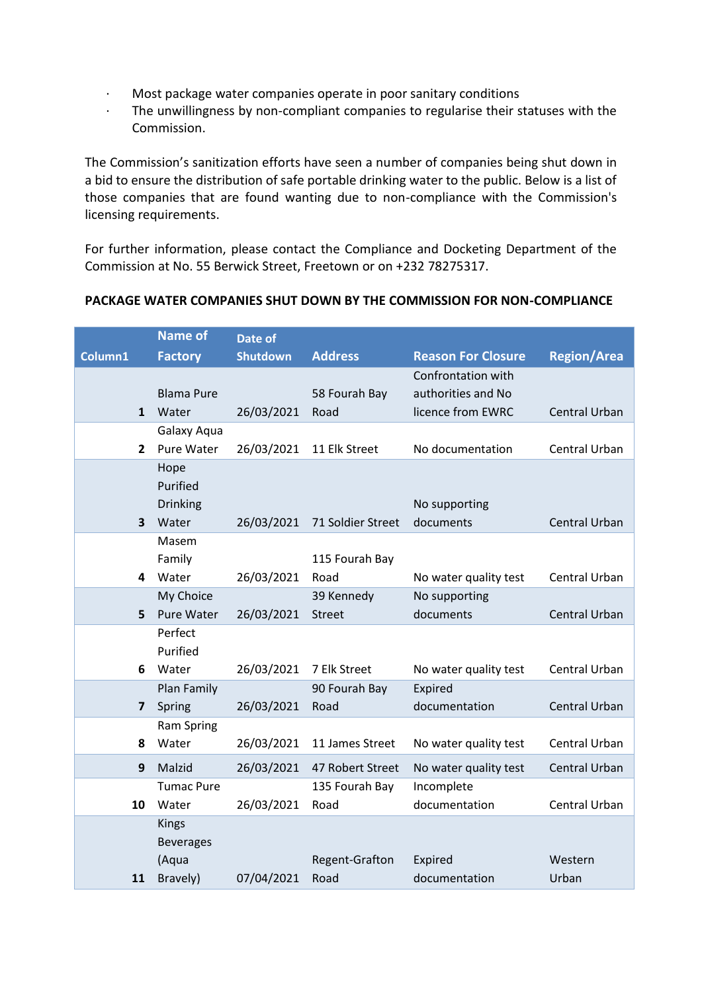- · Most package water companies operate in poor sanitary conditions
- · The unwillingness by non-compliant companies to regularise their statuses with the Commission.

The Commission's sanitization efforts have seen a number of companies being shut down in a bid to ensure the distribution of safe portable drinking water to the public. Below is a list of those companies that are found wanting due to non-compliance with the Commission's licensing requirements.

For further information, please contact the Compliance and Docketing Department of the Commission at No. 55 Berwick Street, Freetown or on +232 78275317.

|                         | <b>Name of</b>        | Date of         |                   |                           |                      |
|-------------------------|-----------------------|-----------------|-------------------|---------------------------|----------------------|
| Column1                 | <b>Factory</b>        | <b>Shutdown</b> | <b>Address</b>    | <b>Reason For Closure</b> | <b>Region/Area</b>   |
|                         |                       |                 |                   | Confrontation with        |                      |
|                         | <b>Blama Pure</b>     |                 | 58 Fourah Bay     | authorities and No        |                      |
|                         | Water<br>$\mathbf{1}$ | 26/03/2021      | Road              | licence from EWRC         | <b>Central Urban</b> |
|                         | Galaxy Aqua           |                 |                   |                           |                      |
| $\mathbf{2}$            | Pure Water            | 26/03/2021      | 11 Elk Street     | No documentation          | Central Urban        |
|                         | Hope                  |                 |                   |                           |                      |
|                         | Purified              |                 |                   |                           |                      |
|                         | Drinking              |                 |                   | No supporting             |                      |
| $\overline{\mathbf{3}}$ | Water                 | 26/03/2021      | 71 Soldier Street | documents                 | <b>Central Urban</b> |
|                         | Masem                 |                 |                   |                           |                      |
|                         | Family                |                 | 115 Fourah Bay    |                           |                      |
| 4                       | Water                 | 26/03/2021      | Road              | No water quality test     | Central Urban        |
|                         | My Choice             |                 | 39 Kennedy        | No supporting             |                      |
| 5                       | Pure Water            | 26/03/2021      | <b>Street</b>     | documents                 | <b>Central Urban</b> |
|                         | Perfect               |                 |                   |                           |                      |
|                         | Purified              |                 |                   |                           |                      |
| 6                       | Water                 | 26/03/2021      | 7 Elk Street      | No water quality test     | Central Urban        |
|                         | Plan Family           |                 | 90 Fourah Bay     | Expired                   |                      |
| $\overline{7}$          | Spring                | 26/03/2021      | Road              | documentation             | Central Urban        |
|                         | <b>Ram Spring</b>     |                 |                   |                           |                      |
| 8                       | Water                 | 26/03/2021      | 11 James Street   | No water quality test     | Central Urban        |
| 9                       | Malzid                | 26/03/2021      | 47 Robert Street  | No water quality test     | Central Urban        |
|                         | <b>Tumac Pure</b>     |                 | 135 Fourah Bay    | Incomplete                |                      |
| 10                      | Water                 | 26/03/2021      | Road              | documentation             | Central Urban        |
|                         | <b>Kings</b>          |                 |                   |                           |                      |
|                         | <b>Beverages</b>      |                 |                   |                           |                      |
|                         | (Aqua                 |                 | Regent-Grafton    | Expired                   | Western              |
| 11                      | Bravely)              | 07/04/2021      | Road              | documentation             | Urban                |

## **PACKAGE WATER COMPANIES SHUT DOWN BY THE COMMISSION FOR NON-COMPLIANCE**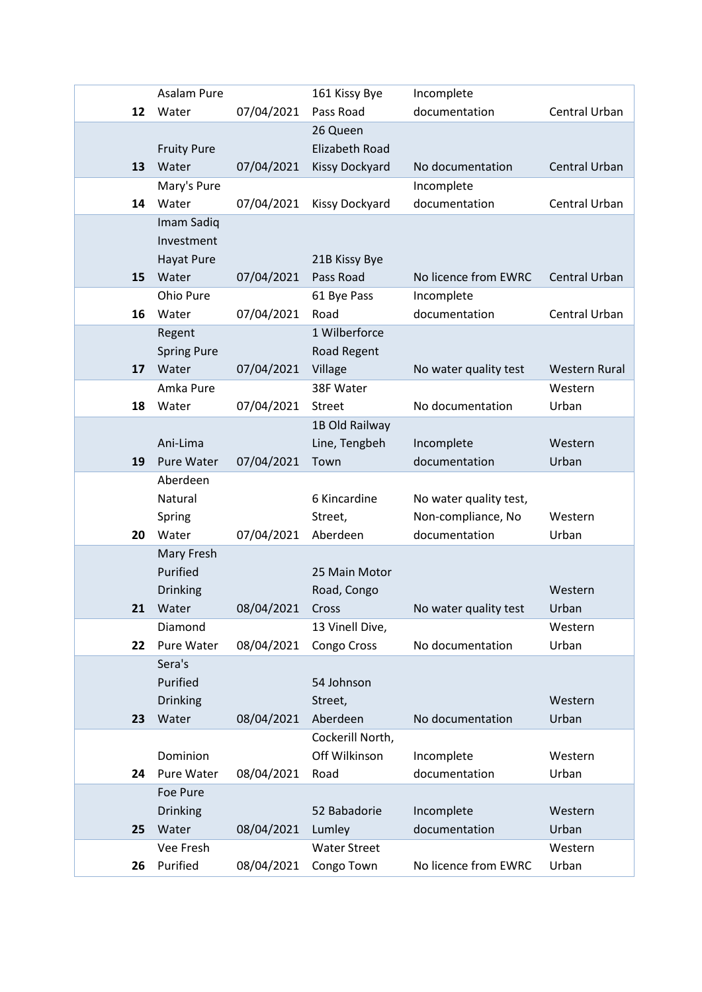|    | Asalam Pure                 |            | 161 Kissy Bye                 | Incomplete             |                      |
|----|-----------------------------|------------|-------------------------------|------------------------|----------------------|
| 12 | Water                       | 07/04/2021 | Pass Road                     | documentation          | Central Urban        |
|    |                             |            | 26 Queen                      |                        |                      |
|    | <b>Fruity Pure</b>          |            | <b>Elizabeth Road</b>         |                        |                      |
| 13 | Water                       | 07/04/2021 | <b>Kissy Dockyard</b>         | No documentation       | <b>Central Urban</b> |
|    | Mary's Pure                 |            |                               | Incomplete             |                      |
| 14 | Water                       | 07/04/2021 | Kissy Dockyard                | documentation          | Central Urban        |
|    | Imam Sadiq                  |            |                               |                        |                      |
|    | Investment                  |            |                               |                        |                      |
|    | Hayat Pure                  |            | 21B Kissy Bye                 |                        |                      |
| 15 | Water                       | 07/04/2021 | Pass Road                     | No licence from EWRC   | <b>Central Urban</b> |
|    | Ohio Pure                   |            | 61 Bye Pass                   | Incomplete             |                      |
| 16 | Water                       | 07/04/2021 | Road                          | documentation          | Central Urban        |
|    | Regent                      |            | 1 Wilberforce                 |                        |                      |
| 17 | <b>Spring Pure</b><br>Water | 07/04/2021 | Road Regent                   |                        | <b>Western Rural</b> |
|    | Amka Pure                   |            | Village<br>38F Water          | No water quality test  | Western              |
| 18 | Water                       | 07/04/2021 | <b>Street</b>                 | No documentation       | Urban                |
|    |                             |            | 1B Old Railway                |                        |                      |
|    | Ani-Lima                    |            | Line, Tengbeh                 | Incomplete             | Western              |
| 19 | Pure Water                  | 07/04/2021 | Town                          | documentation          | Urban                |
|    | Aberdeen                    |            |                               |                        |                      |
|    | Natural                     |            | 6 Kincardine                  | No water quality test, |                      |
|    | Spring                      |            | Street,                       | Non-compliance, No     | Western              |
| 20 | Water                       | 07/04/2021 | Aberdeen                      | documentation          | Urban                |
|    | Mary Fresh                  |            |                               |                        |                      |
|    |                             |            | 25 Main Motor                 |                        |                      |
|    | Purified                    |            |                               |                        |                      |
|    | Drinking                    |            | Road, Congo                   |                        | Western              |
| 21 | Water                       | 08/04/2021 | Cross                         | No water quality test  | Urban                |
|    | Diamond                     |            | 13 Vinell Dive,               |                        | Western              |
| 22 | Pure Water                  | 08/04/2021 | Congo Cross                   | No documentation       | Urban                |
|    | Sera's                      |            |                               |                        |                      |
|    | Purified                    |            | 54 Johnson                    |                        |                      |
|    | Drinking                    |            | Street,                       |                        | Western              |
| 23 | Water                       | 08/04/2021 | Aberdeen                      | No documentation       | Urban                |
|    |                             |            | Cockerill North,              |                        |                      |
|    | Dominion                    |            | Off Wilkinson                 | Incomplete             | Western              |
| 24 | Pure Water                  | 08/04/2021 | Road                          | documentation          | Urban                |
|    | Foe Pure                    |            |                               |                        |                      |
|    | <b>Drinking</b>             |            | 52 Babadorie                  | Incomplete             | Western              |
| 25 | Water<br>Vee Fresh          | 08/04/2021 | Lumley<br><b>Water Street</b> | documentation          | Urban<br>Western     |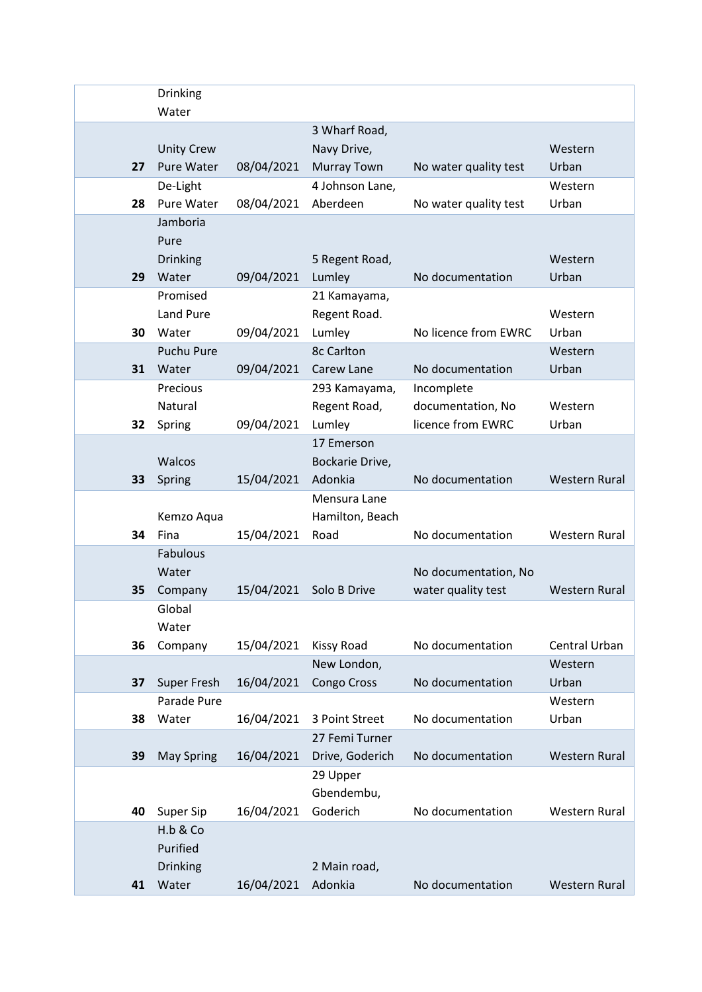|    | Drinking                               |            |                                   |                       |                      |
|----|----------------------------------------|------------|-----------------------------------|-----------------------|----------------------|
|    | Water                                  |            |                                   |                       |                      |
|    |                                        |            | 3 Wharf Road,                     |                       | Western              |
| 27 | <b>Unity Crew</b><br><b>Pure Water</b> | 08/04/2021 | Navy Drive,<br><b>Murray Town</b> | No water quality test | Urban                |
|    | De-Light                               |            | 4 Johnson Lane,                   |                       | Western              |
| 28 | Pure Water                             | 08/04/2021 | Aberdeen                          | No water quality test | Urban                |
|    | Jamboria                               |            |                                   |                       |                      |
|    | Pure                                   |            |                                   |                       |                      |
|    | <b>Drinking</b>                        |            | 5 Regent Road,                    |                       | Western              |
| 29 | Water                                  | 09/04/2021 | Lumley                            | No documentation      | Urban                |
|    | Promised                               |            | 21 Kamayama,                      |                       |                      |
|    | <b>Land Pure</b>                       |            | Regent Road.                      |                       | Western              |
| 30 | Water                                  | 09/04/2021 | Lumley                            | No licence from EWRC  | Urban                |
|    | <b>Puchu Pure</b>                      |            | <b>8c Carlton</b>                 |                       | Western              |
| 31 | Water                                  | 09/04/2021 | Carew Lane                        | No documentation      | Urban                |
|    | Precious                               |            | 293 Kamayama,                     | Incomplete            |                      |
|    | Natural                                |            | Regent Road,                      | documentation, No     | Western              |
| 32 | Spring                                 | 09/04/2021 | Lumley                            | licence from EWRC     | Urban                |
|    |                                        |            | 17 Emerson                        |                       |                      |
|    | Walcos                                 |            | Bockarie Drive,                   |                       |                      |
| 33 | Spring                                 | 15/04/2021 | Adonkia                           | No documentation      | <b>Western Rural</b> |
|    |                                        |            | Mensura Lane                      |                       |                      |
|    | Kemzo Aqua                             |            | Hamilton, Beach                   |                       |                      |
| 34 | Fina<br>Fabulous                       | 15/04/2021 | Road                              | No documentation      | <b>Western Rural</b> |
|    | Water                                  |            |                                   | No documentation, No  |                      |
| 35 | Company                                | 15/04/2021 | Solo B Drive                      | water quality test    | <b>Western Rural</b> |
|    | Global                                 |            |                                   |                       |                      |
|    | Water                                  |            |                                   |                       |                      |
| 36 | Company                                | 15/04/2021 | <b>Kissy Road</b>                 | No documentation      | Central Urban        |
|    |                                        |            | New London,                       |                       | Western              |
| 37 | <b>Super Fresh</b>                     | 16/04/2021 | Congo Cross                       | No documentation      | Urban                |
|    | Parade Pure                            |            |                                   |                       | Western              |
| 38 | Water                                  | 16/04/2021 | 3 Point Street                    | No documentation      | Urban                |
|    |                                        |            | 27 Femi Turner                    |                       |                      |
| 39 | <b>May Spring</b>                      | 16/04/2021 | Drive, Goderich                   | No documentation      | <b>Western Rural</b> |
|    |                                        |            | 29 Upper                          |                       |                      |
|    |                                        |            | Gbendembu,                        |                       |                      |
| 40 | Super Sip                              | 16/04/2021 | Goderich                          | No documentation      | <b>Western Rural</b> |
|    | H.b & Co                               |            |                                   |                       |                      |
|    | Purified                               |            |                                   |                       |                      |
|    | Drinking                               |            | 2 Main road,                      |                       |                      |
| 41 | Water                                  | 16/04/2021 | Adonkia                           | No documentation      | Western Rural        |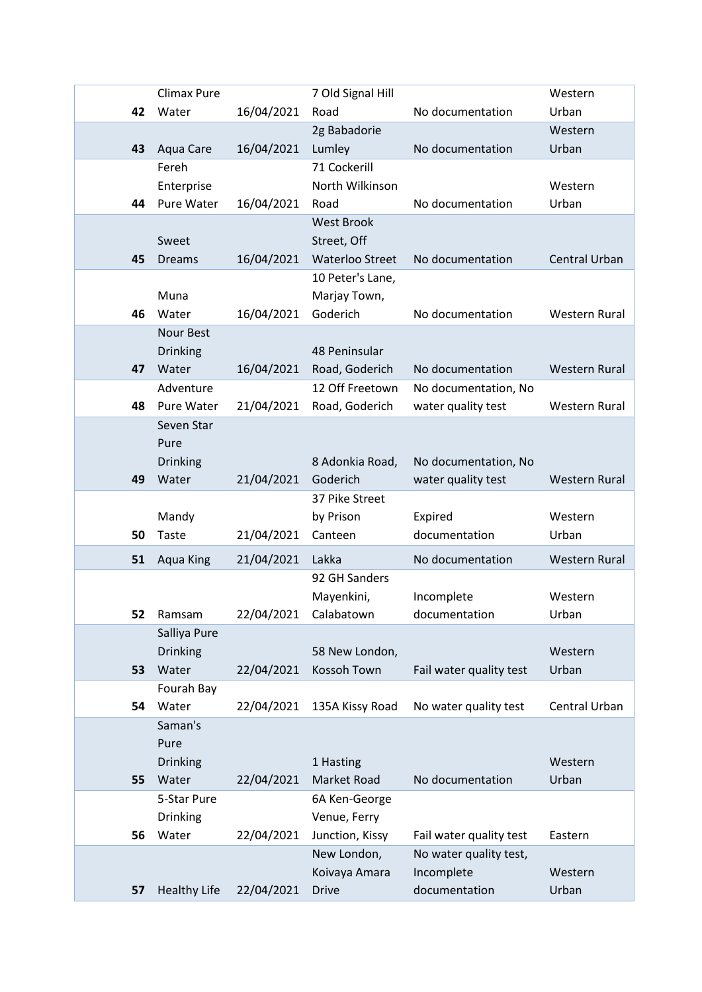|    | Climax Pure         |            | 7 Old Signal Hill             |                             | Western              |
|----|---------------------|------------|-------------------------------|-----------------------------|----------------------|
| 42 | Water               | 16/04/2021 | Road                          | No documentation            | Urban                |
|    |                     |            | 2g Babadorie                  |                             | Western              |
| 43 | Aqua Care           | 16/04/2021 | Lumley                        | No documentation            | Urban                |
|    | Fereh               |            | 71 Cockerill                  |                             |                      |
|    | Enterprise          |            | North Wilkinson               |                             | Western              |
| 44 | Pure Water          | 16/04/2021 | Road                          | No documentation            | Urban                |
|    |                     |            | <b>West Brook</b>             |                             |                      |
|    | Sweet               |            | Street, Off                   |                             |                      |
| 45 | <b>Dreams</b>       | 16/04/2021 | <b>Waterloo Street</b>        | No documentation            | <b>Central Urban</b> |
|    |                     |            | 10 Peter's Lane,              |                             |                      |
|    | Muna                |            | Marjay Town,                  |                             |                      |
| 46 | Water               | 16/04/2021 | Goderich                      | No documentation            | Western Rural        |
|    | <b>Nour Best</b>    |            |                               |                             |                      |
|    | Drinking            |            | 48 Peninsular                 |                             |                      |
| 47 | Water               | 16/04/2021 | Road, Goderich                | No documentation            | <b>Western Rural</b> |
|    | Adventure           |            | 12 Off Freetown               | No documentation, No        |                      |
| 48 | Pure Water          | 21/04/2021 | Road, Goderich                | water quality test          | <b>Western Rural</b> |
|    | Seven Star          |            |                               |                             |                      |
|    | Pure                |            |                               |                             |                      |
|    | Drinking            |            | 8 Adonkia Road,               | No documentation, No        |                      |
| 49 | Water               | 21/04/2021 | Goderich                      | water quality test          | <b>Western Rural</b> |
|    |                     |            | 37 Pike Street                |                             |                      |
|    | Mandy               |            | by Prison                     | Expired                     | Western              |
| 50 | Taste               | 21/04/2021 | Canteen                       | documentation               | Urban                |
| 51 | Aqua King           | 21/04/2021 | Lakka                         | No documentation            | <b>Western Rural</b> |
|    |                     |            | 92 GH Sanders                 |                             |                      |
|    |                     |            | Mayenkini,                    | Incomplete                  | Western              |
| 52 | Ramsam              | 22/04/2021 | Calabatown                    | documentation               | Urban                |
|    | Salliya Pure        |            |                               |                             |                      |
|    | <b>Drinking</b>     |            | 58 New London,                |                             | Western              |
| 53 | Water               | 22/04/2021 | <b>Kossoh Town</b>            | Fail water quality test     | Urban                |
|    | Fourah Bay          |            |                               |                             |                      |
| 54 | Water               | 22/04/2021 | 135A Kissy Road               | No water quality test       | Central Urban        |
|    | Saman's             |            |                               |                             |                      |
|    | Pure                |            |                               |                             |                      |
|    | <b>Drinking</b>     |            | 1 Hasting                     |                             | Western              |
| 55 | Water               | 22/04/2021 | <b>Market Road</b>            | No documentation            | Urban                |
|    | 5-Star Pure         |            | 6A Ken-George                 |                             |                      |
|    | Drinking            |            | Venue, Ferry                  |                             |                      |
| 56 | Water               | 22/04/2021 | Junction, Kissy               | Fail water quality test     | Eastern              |
|    |                     |            | New London,                   | No water quality test,      |                      |
|    | <b>Healthy Life</b> | 22/04/2021 | Koivaya Amara<br><b>Drive</b> | Incomplete<br>documentation | Western<br>Urban     |
| 57 |                     |            |                               |                             |                      |